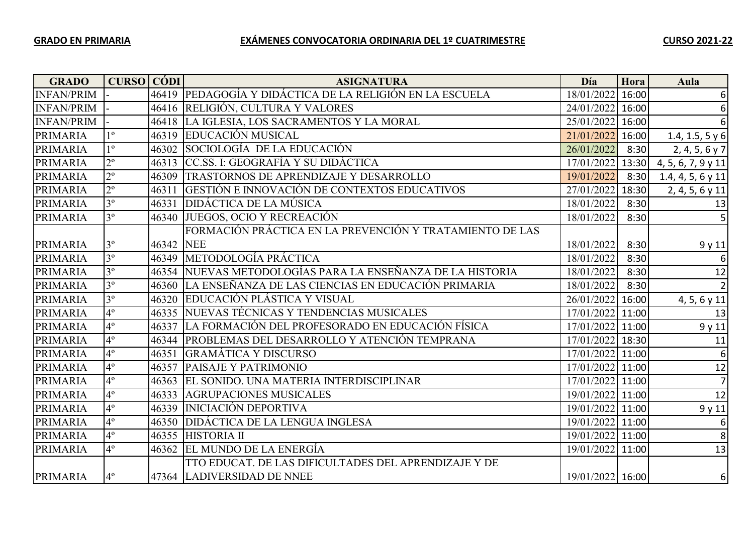| <b>GRADO</b>      | <b>CURSO CÓDI</b> |       | <b>ASIGNATURA</b>                                            | Día              | Hora  | Aula               |
|-------------------|-------------------|-------|--------------------------------------------------------------|------------------|-------|--------------------|
| <b>INFAN/PRIM</b> |                   |       | 46419 PEDAGOGÍA Y DIDÁCTICA DE LA RELIGIÓN EN LA ESCUELA     | 18/01/2022       | 16:00 | $6\vert$           |
| <b>INFAN/PRIM</b> |                   |       | 46416 RELIGIÓN, CULTURA Y VALORES                            | 24/01/2022 16:00 |       | 6                  |
| <b>INFAN/PRIM</b> |                   |       | 46418 LA IGLESIA, LOS SACRAMENTOS Y LA MORAL                 | 25/01/2022 16:00 |       | 6                  |
| <b>PRIMARIA</b>   | 1 <sup>0</sup>    |       | 46319 EDUCACIÓN MUSICAL                                      | 21/01/2022       | 16:00 | 1.4, 1.5, 5 $y$ 6  |
| <b>PRIMARIA</b>   | $1^{\circ}$       |       | 46302 SOCIOLOGÍA DE LA EDUCACIÓN                             | 26/01/2022       | 8:30  | 2, 4, 5, 6 y 7     |
| <b>PRIMARIA</b>   | $2^{\circ}$       |       | 46313 CC.SS. I: GEOGRAFÍA Y SU DIDÁCTICA                     | 17/01/2022       | 13:30 | 4, 5, 6, 7, 9 y 11 |
| <b>PRIMARIA</b>   | $2^{\circ}$       | 46309 | TRASTORNOS DE APRENDIZAJE Y DESARROLLO                       | 19/01/2022       | 8:30  | 1.4, 4, 5, 6 y 11  |
| <b>PRIMARIA</b>   | $2^{\circ}$       | 46311 | GESTIÓN E INNOVACIÓN DE CONTEXTOS EDUCATIVOS                 | 27/01/2022       | 18:30 | $2, 4, 5, 6$ y 11  |
| <b>PRIMARIA</b>   | 3 <sup>o</sup>    | 46331 | <b>DIDÁCTICA DE LA MÚSICA</b>                                | 18/01/2022       | 8:30  | 13                 |
| <b>PRIMARIA</b>   | 3 <sup>o</sup>    |       | 46340 JUEGOS, OCIO Y RECREACIÓN                              | 18/01/2022       | 8:30  | 5                  |
|                   |                   |       | FORMACIÓN PRÁCTICA EN LA PREVENCIÓN Y TRATAMIENTO DE LAS     |                  |       |                    |
| <b>PRIMARIA</b>   | $3^{\circ}$       | 46342 | <b>NEE</b>                                                   | 18/01/2022       | 8:30  | 9 y 11             |
| PRIMARIA          | 3 <sup>o</sup>    |       | 46349 METODOLOGÍA PRÁCTICA                                   | 18/01/2022       | 8:30  | 6                  |
| <b>PRIMARIA</b>   | 3 <sup>o</sup>    |       | 46354   NUEVAS METODOLOGÍAS PARA LA ENSEÑANZA DE LA HISTORIA | 18/01/2022       | 8:30  | 12                 |
| PRIMARIA          | 3 <sup>o</sup>    |       | 46360 LA ENSEÑANZA DE LAS CIENCIAS EN EDUCACIÓN PRIMARIA     | 18/01/2022       | 8:30  | $\overline{2}$     |
| <b>PRIMARIA</b>   | 3 <sup>o</sup>    |       | 46320 EDUCACIÓN PLÁSTICA Y VISUAL                            | 26/01/2022       | 16:00 | 4, 5, 6 y 11       |
| <b>PRIMARIA</b>   | $4^{\circ}$       |       | 46335 NUEVAS TÉCNICAS Y TENDENCIAS MUSICALES                 | 17/01/2022 11:00 |       | 13                 |
| <b>PRIMARIA</b>   | $4^{\circ}$       |       | 46337 LA FORMACIÓN DEL PROFESORADO EN EDUCACIÓN FÍSICA       | 17/01/2022 11:00 |       | 9y11               |
| <b>PRIMARIA</b>   | $4^{\circ}$       |       | 46344   PROBLEMAS DEL DESARROLLO Y ATENCIÓN TEMPRANA         | 17/01/2022 18:30 |       | 11                 |
| <b>PRIMARIA</b>   | $4^{\circ}$       | 46351 | <b>GRAMÁTICA Y DISCURSO</b>                                  | 17/01/2022 11:00 |       | 6                  |
| <b>PRIMARIA</b>   | 4 <sup>°</sup>    | 46357 | <b>PAISAJE Y PATRIMONIO</b>                                  | 17/01/2022 11:00 |       | 12                 |
| <b>PRIMARIA</b>   | $4^{\circ}$       |       | 46363 EL SONIDO. UNA MATERIA INTERDISCIPLINAR                | 17/01/2022 11:00 |       | $\overline{z}$     |
| <b>PRIMARIA</b>   | $4^{\circ}$       | 46333 | <b>AGRUPACIONES MUSICALES</b>                                | 19/01/2022 11:00 |       | 12                 |
| <b>PRIMARIA</b>   | $4^{\circ}$       | 46339 | <b>INICIACIÓN DEPORTIVA</b>                                  | 19/01/2022 11:00 |       | 9y11               |
| <b>PRIMARIA</b>   | $4^{\circ}$       | 46350 | <b>DIDÁCTICA DE LA LENGUA INGLESA</b>                        | 19/01/2022 11:00 |       | 6                  |
| <b>PRIMARIA</b>   | $4^{\circ}$       |       | 46355 HISTORIA II                                            | 19/01/2022 11:00 |       | 8                  |
| <b>PRIMARIA</b>   | 4 <sup>°</sup>    |       | 46362 EL MUNDO DE LA ENERGÍA                                 | 19/01/2022 11:00 |       | 13                 |
|                   |                   |       | TTO EDUCAT. DE LAS DIFICULTADES DEL APRENDIZAJE Y DE         |                  |       |                    |
| <b>PRIMARIA</b>   | $4^{\circ}$       |       | 47364 LADIVERSIDAD DE NNEE                                   | 19/01/2022 16:00 |       | 6                  |